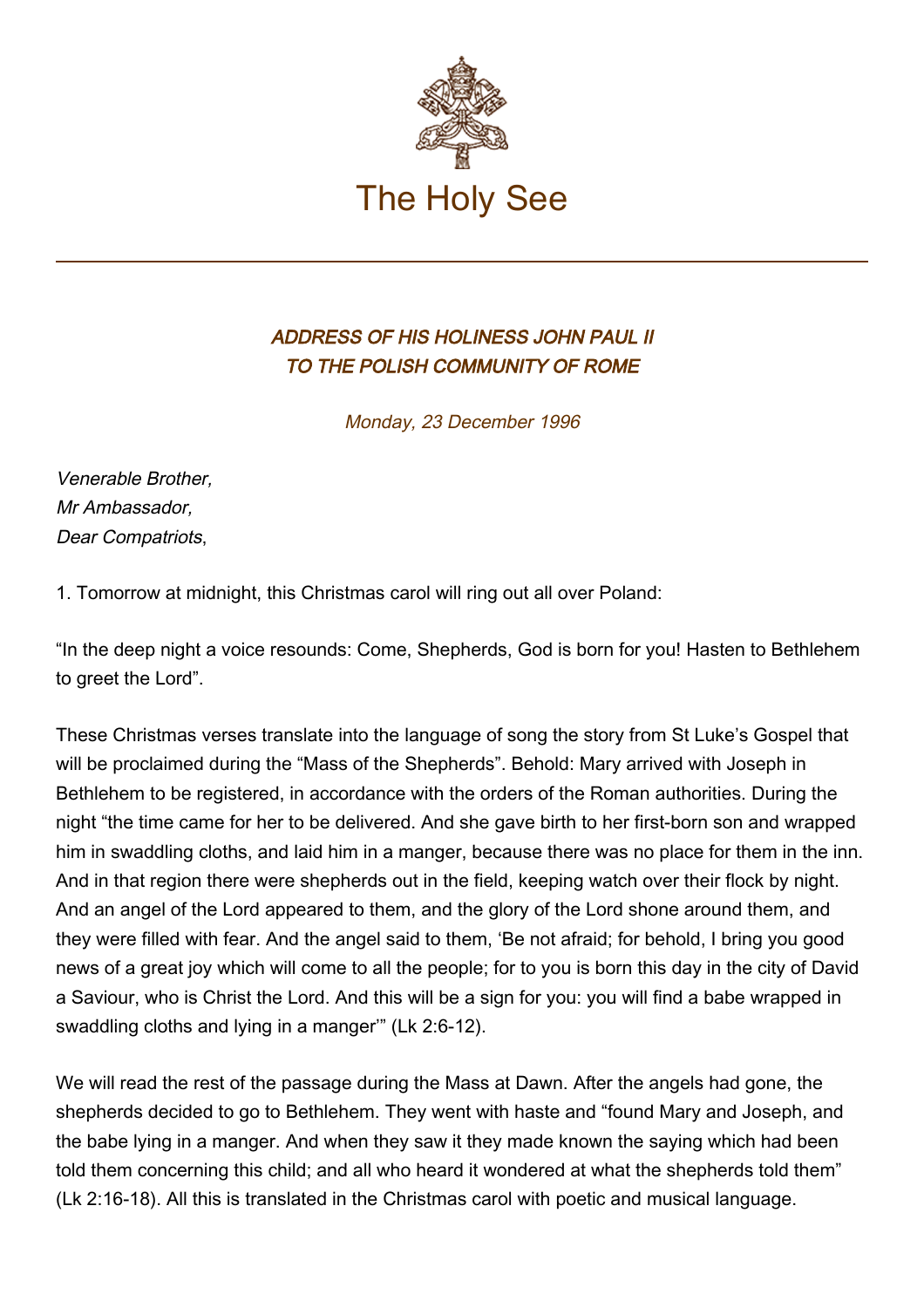

## ADDRESS OF HIS HOLINESS JOHN PAUL II TO THE POLISH COMMUNITY OF ROME

Monday, 23 December 1996

Venerable Brother, Mr Ambassador, Dear Compatriots,

1. Tomorrow at midnight, this Christmas carol will ring out all over Poland:

"In the deep night a voice resounds: Come, Shepherds, God is born for you! Hasten to Bethlehem to greet the Lord".

These Christmas verses translate into the language of song the story from St Luke's Gospel that will be proclaimed during the "Mass of the Shepherds". Behold: Mary arrived with Joseph in Bethlehem to be registered, in accordance with the orders of the Roman authorities. During the night "the time came for her to be delivered. And she gave birth to her first-born son and wrapped him in swaddling cloths, and laid him in a manger, because there was no place for them in the inn. And in that region there were shepherds out in the field, keeping watch over their flock by night. And an angel of the Lord appeared to them, and the glory of the Lord shone around them, and they were filled with fear. And the angel said to them, 'Be not afraid; for behold, I bring you good news of a great joy which will come to all the people; for to you is born this day in the city of David a Saviour, who is Christ the Lord. And this will be a sign for you: you will find a babe wrapped in swaddling cloths and lying in a manger'" (Lk 2:6-12).

We will read the rest of the passage during the Mass at Dawn. After the angels had gone, the shepherds decided to go to Bethlehem. They went with haste and "found Mary and Joseph, and the babe lying in a manger. And when they saw it they made known the saying which had been told them concerning this child; and all who heard it wondered at what the shepherds told them" (Lk 2:16-18). All this is translated in the Christmas carol with poetic and musical language.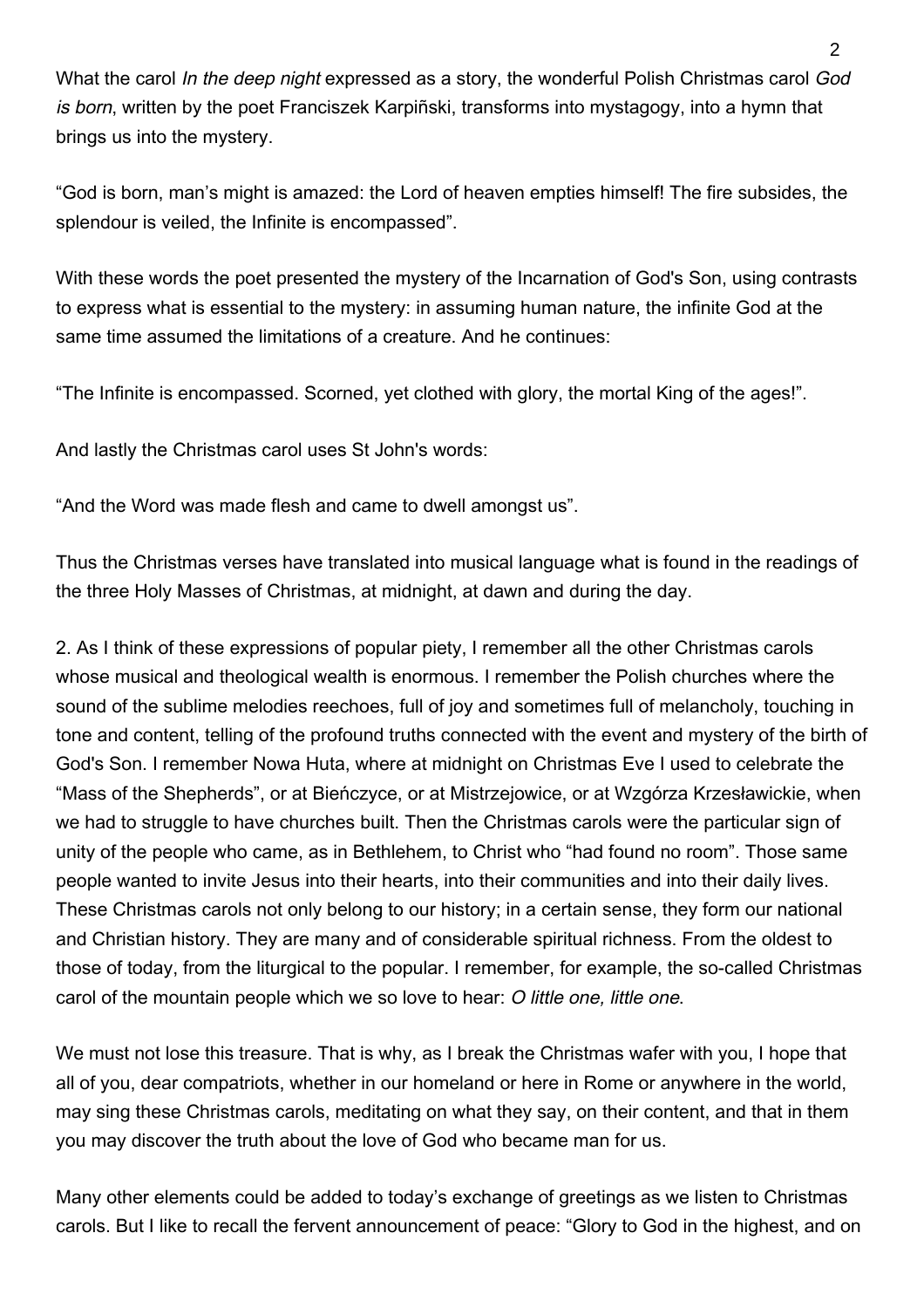What the carol In the deep night expressed as a story, the wonderful Polish Christmas carol God is born, written by the poet Franciszek Karpiñski, transforms into mystagogy, into a hymn that brings us into the mystery.

"God is born, man's might is amazed: the Lord of heaven empties himself! The fire subsides, the splendour is veiled, the Infinite is encompassed".

With these words the poet presented the mystery of the Incarnation of God's Son, using contrasts to express what is essential to the mystery: in assuming human nature, the infinite God at the same time assumed the limitations of a creature. And he continues:

"The Infinite is encompassed. Scorned, yet clothed with glory, the mortal King of the ages!".

And lastly the Christmas carol uses St John's words:

"And the Word was made flesh and came to dwell amongst us".

Thus the Christmas verses have translated into musical language what is found in the readings of the three Holy Masses of Christmas, at midnight, at dawn and during the day.

2. As I think of these expressions of popular piety, I remember all the other Christmas carols whose musical and theological wealth is enormous. I remember the Polish churches where the sound of the sublime melodies reechoes, full of joy and sometimes full of melancholy, touching in tone and content, telling of the profound truths connected with the event and mystery of the birth of God's Son. I remember Nowa Huta, where at midnight on Christmas Eve I used to celebrate the "Mass of the Shepherds", or at Bieńczyce, or at Mistrzejowice, or at Wzgórza Krzesławickie, when we had to struggle to have churches built. Then the Christmas carols were the particular sign of unity of the people who came, as in Bethlehem, to Christ who "had found no room". Those same people wanted to invite Jesus into their hearts, into their communities and into their daily lives. These Christmas carols not only belong to our history; in a certain sense, they form our national and Christian history. They are many and of considerable spiritual richness. From the oldest to those of today, from the liturgical to the popular. I remember, for example, the so-called Christmas carol of the mountain people which we so love to hear: O little one, little one.

We must not lose this treasure. That is why, as I break the Christmas wafer with you, I hope that all of you, dear compatriots, whether in our homeland or here in Rome or anywhere in the world, may sing these Christmas carols, meditating on what they say, on their content, and that in them you may discover the truth about the love of God who became man for us.

Many other elements could be added to today's exchange of greetings as we listen to Christmas carols. But I like to recall the fervent announcement of peace: "Glory to God in the highest, and on